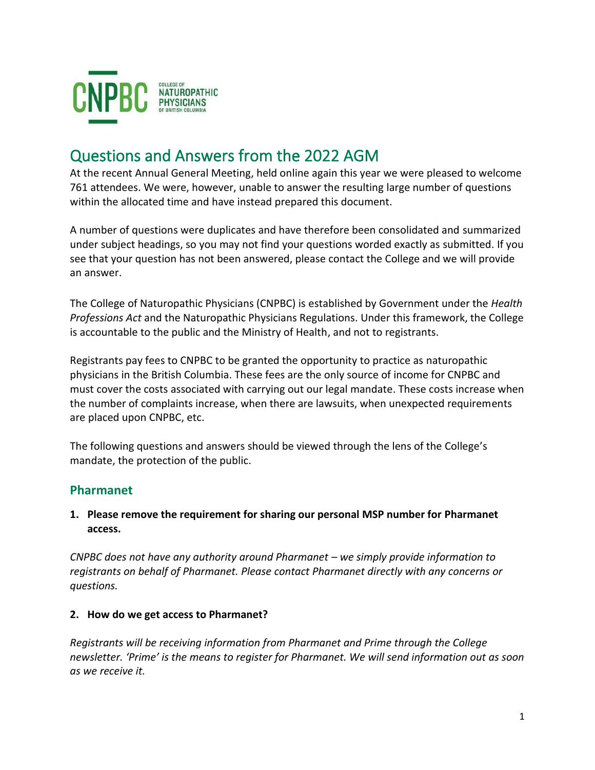

# Questions and Answers from the 2022 AGM

At the recent Annual General Meeting, held online again this year we were pleased to welcome 761 attendees. We were, however, unable to answer the resulting large number of questions within the allocated time and have instead prepared this document.

A number of questions were duplicates and have therefore been consolidated and summarized under subject headings, so you may not find your questions worded exactly as submitted. If you see that your question has not been answered, please contact the College and we will provide an answer.

The College of Naturopathic Physicians (CNPBC) is established by Government under the *Health Professions Act* and the Naturopathic Physicians Regulations. Under this framework, the College is accountable to the public and the Ministry of Health, and not to registrants.

Registrants pay fees to CNPBC to be granted the opportunity to practice as naturopathic physicians in the British Columbia. These fees are the only source of income for CNPBC and must cover the costs associated with carrying out our legal mandate. These costs increase when the number of complaints increase, when there are lawsuits, when unexpected requirements are placed upon CNPBC, etc.

The following questions and answers should be viewed through the lens of the College's mandate, the protection of the public.

## **Pharmanet**

#### **1. Please remove the requirement for sharing our personal MSP number for Pharmanet access.**

*CNPBC does not have any authority around Pharmanet – we simply provide information to registrants on behalf of Pharmanet. Please contact Pharmanet directly with any concerns or questions.*

#### **2. How do we get access to Pharmanet?**

*Registrants will be receiving information from Pharmanet and Prime through the College newsletter. 'Prime' is the means to register for Pharmanet. We will send information out as soon as we receive it.*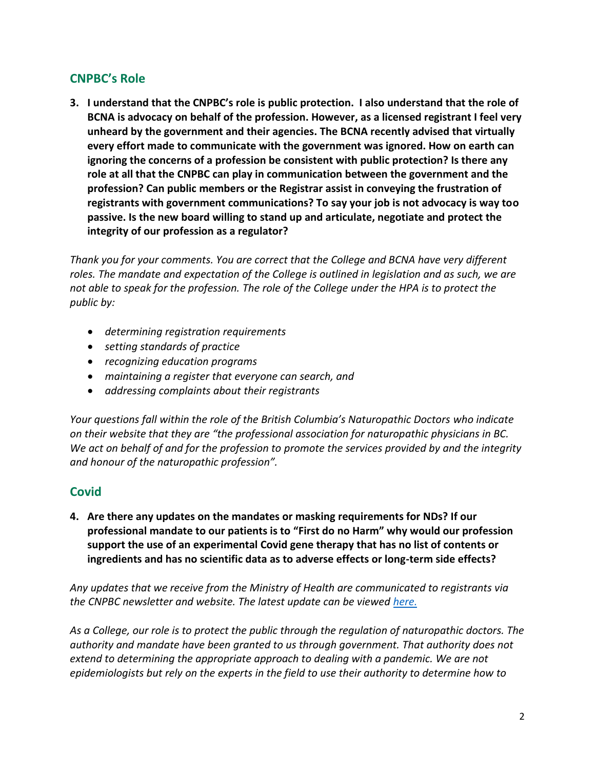## **CNPBC's Role**

**3. I understand that the CNPBC's role is public protection. I also understand that the role of BCNA is advocacy on behalf of the profession. However, as a licensed registrant I feel very unheard by the government and their agencies. The BCNA recently advised that virtually every effort made to communicate with the government was ignored. How on earth can ignoring the concerns of a profession be consistent with public protection? Is there any role at all that the CNPBC can play in communication between the government and the profession? Can public members or the Registrar assist in conveying the frustration of registrants with government communications? To say your job is not advocacy is way too passive. Is the new board willing to stand up and articulate, negotiate and protect the integrity of our profession as a regulator?** 

*Thank you for your comments. You are correct that the College and BCNA have very different roles. The mandate and expectation of the College is outlined in legislation and as such, we are not able to speak for the profession. The role of the College under the HPA is to protect the public by:*

- *determining registration requirements*
- *setting standards of practice*
- *recognizing education programs*
- *maintaining a register that everyone can search, and*
- *addressing complaints about their registrants*

*Your questions fall within the role of the British Columbia's Naturopathic Doctors who indicate on their website that they are "the professional association for naturopathic physicians in BC. We act on behalf of and for the profession to promote the services provided by and the integrity and honour of the naturopathic profession".*

## **Covid**

**4. Are there any updates on the mandates or masking requirements for NDs? If our professional mandate to our patients is to "First do no Harm" why would our profession support the use of an experimental Covid gene therapy that has no list of contents or ingredients and has no scientific data as to adverse effects or long-term side effects?**

*Any updates that we receive from the Ministry of Health are communicated to registrants via the CNPBC newsletter and website. The latest update can be viewed [here.](https://www2.gov.bc.ca/assets/gov/health/about-bc-s-health-care-system/office-of-the-provincial-health-officer/covid-19/mask_use_and_infection_prevention_and_control_guidance_for_health_professionals.pdf)*

*As a College, our role is to protect the public through the regulation of naturopathic doctors. The authority and mandate have been granted to us through government. That authority does not extend to determining the appropriate approach to dealing with a pandemic. We are not epidemiologists but rely on the experts in the field to use their authority to determine how to*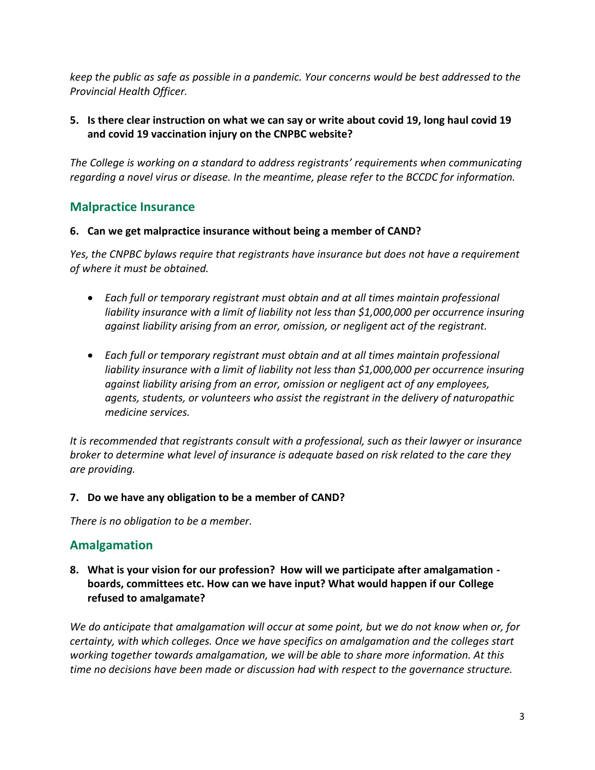*keep the public as safe as possible in a pandemic. Your concerns would be best addressed to the Provincial Health Officer.*

## **5. Is there clear instruction on what we can say or write about covid 19, long haul covid 19 and covid 19 vaccination injury on the CNPBC website?**

*The College is working on a standard to address registrants' requirements when communicating regarding a novel virus or disease. In the meantime, please refer to the BCCDC for information.*

## **Malpractice Insurance**

#### **6. Can we get malpractice insurance without being a member of CAND?**

*Yes, the CNPBC bylaws require that registrants have insurance but does not have a requirement of where it must be obtained.* 

- *Each full or temporary registrant must obtain and at all times maintain professional liability insurance with a limit of liability not less than \$1,000,000 per occurrence insuring against liability arising from an error, omission, or negligent act of the registrant.*
- *Each full or temporary registrant must obtain and at all times maintain professional liability insurance with a limit of liability not less than \$1,000,000 per occurrence insuring against liability arising from an error, omission or negligent act of any employees, agents, students, or volunteers who assist the registrant in the delivery of naturopathic medicine services.*

*It is recommended that registrants consult with a professional, such as their lawyer or insurance broker to determine what level of insurance is adequate based on risk related to the care they are providing.* 

## **7. Do we have any obligation to be a member of CAND?**

*There is no obligation to be a member.*

## **Amalgamation**

**8. What is your vision for our profession? How will we participate after amalgamation boards, committees etc. How can we have input? What would happen if our College refused to amalgamate?**

*We do anticipate that amalgamation will occur at some point, but we do not know when or, for certainty, with which colleges. Once we have specifics on amalgamation and the colleges start working together towards amalgamation, we will be able to share more information. At this time no decisions have been made or discussion had with respect to the governance structure.*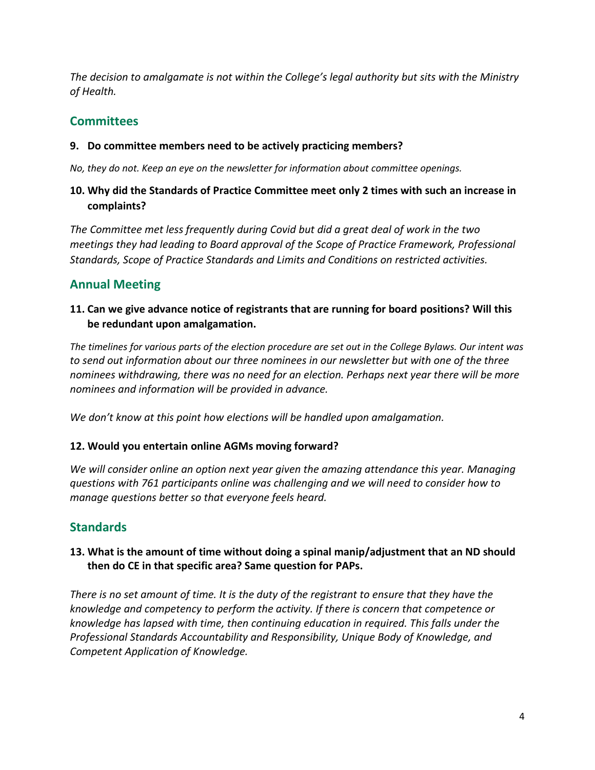*The decision to amalgamate is not within the College's legal authority but sits with the Ministry of Health.* 

## **Committees**

## **9. Do committee members need to be actively practicing members?**

*No, they do not. Keep an eye on the newsletter for information about committee openings.*

## **10. Why did the Standards of Practice Committee meet only 2 times with such an increase in complaints?**

*The Committee met less frequently during Covid but did a great deal of work in the two meetings they had leading to Board approval of the Scope of Practice Framework, Professional Standards, Scope of Practice Standards and Limits and Conditions on restricted activities.* 

## **Annual Meeting**

## **11. Can we give advance notice of registrants that are running for board positions? Will this be redundant upon amalgamation.**

*The timelines for various parts of the election procedure are set out in the College Bylaws. Our intent was to send out information about our three nominees in our newsletter but with one of the three nominees withdrawing, there was no need for an election. Perhaps next year there will be more nominees and information will be provided in advance.*

*We don't know at this point how elections will be handled upon amalgamation.*

## **12. Would you entertain online AGMs moving forward?**

*We will consider online an option next year given the amazing attendance this year. Managing questions with 761 participants online was challenging and we will need to consider how to manage questions better so that everyone feels heard.*

## **Standards**

## **13. What is the amount of time without doing a spinal manip/adjustment that an ND should then do CE in that specific area? Same question for PAPs.**

*There is no set amount of time. It is the duty of the registrant to ensure that they have the knowledge and competency to perform the activity. If there is concern that competence or knowledge has lapsed with time, then continuing education in required. This falls under the Professional Standards Accountability and Responsibility, Unique Body of Knowledge, and Competent Application of Knowledge.*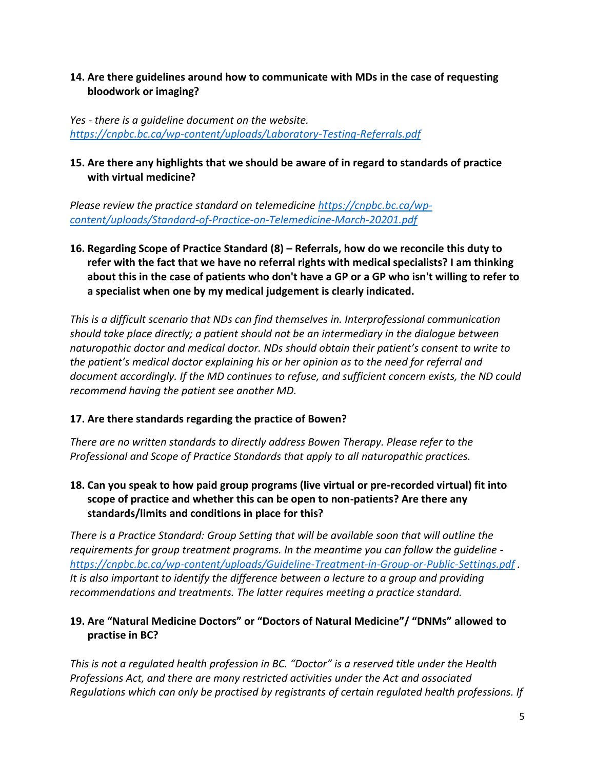## **14. Are there guidelines around how to communicate with MDs in the case of requesting bloodwork or imaging?**

*Yes - there is a guideline document on the website. <https://cnpbc.bc.ca/wp-content/uploads/Laboratory-Testing-Referrals.pdf>*

## **15. Are there any highlights that we should be aware of in regard to standards of practice with virtual medicine?**

*Please review the practice standard on telemedicine [https://cnpbc.bc.ca/wp](https://cnpbc.bc.ca/wp-content/uploads/Standard-of-Practice-on-Telemedicine-March-20201.pdf)[content/uploads/Standard-of-Practice-on-Telemedicine-March-20201.pdf](https://cnpbc.bc.ca/wp-content/uploads/Standard-of-Practice-on-Telemedicine-March-20201.pdf)*

**16. Regarding Scope of Practice Standard (8) – Referrals, how do we reconcile this duty to refer with the fact that we have no referral rights with medical specialists? I am thinking about this in the case of patients who don't have a GP or a GP who isn't willing to refer to a specialist when one by my medical judgement is clearly indicated.**

*This is a difficult scenario that NDs can find themselves in. Interprofessional communication should take place directly; a patient should not be an intermediary in the dialogue between naturopathic doctor and medical doctor. NDs should obtain their patient's consent to write to the patient's medical doctor explaining his or her opinion as to the need for referral and document accordingly. If the MD continues to refuse, and sufficient concern exists, the ND could recommend having the patient see another MD.*

## **17. Are there standards regarding the practice of Bowen?**

*There are no written standards to directly address Bowen Therapy. Please refer to the Professional and Scope of Practice Standards that apply to all naturopathic practices.*

**18. Can you speak to how paid group programs (live virtual or pre-recorded virtual) fit into scope of practice and whether this can be open to non-patients? Are there any standards/limits and conditions in place for this?**

*There is a Practice Standard: Group Setting that will be available soon that will outline the requirements for group treatment programs. In the meantime you can follow the guideline  <https://cnpbc.bc.ca/wp-content/uploads/Guideline-Treatment-in-Group-or-Public-Settings.pdf> . It is also important to identify the difference between a lecture to a group and providing recommendations and treatments. The latter requires meeting a practice standard.*

## **19. Are "Natural Medicine Doctors" or "Doctors of Natural Medicine"/ "DNMs" allowed to practise in BC?**

*This is not a regulated health profession in BC. "Doctor" is a reserved title under the Health Professions Act, and there are many restricted activities under the Act and associated Regulations which can only be practised by registrants of certain regulated health professions. If*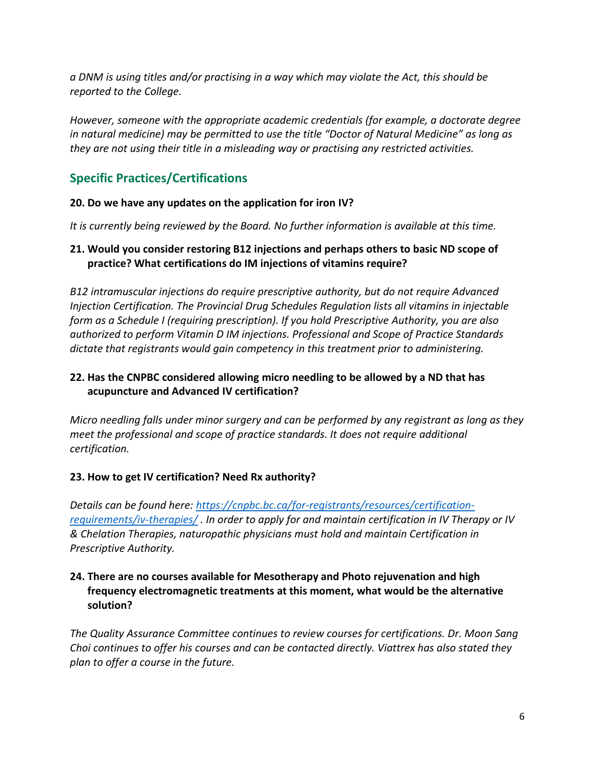*a DNM is using titles and/or practising in a way which may violate the Act, this should be reported to the College.* 

*However, someone with the appropriate academic credentials (for example, a doctorate degree in natural medicine) may be permitted to use the title "Doctor of Natural Medicine" as long as they are not using their title in a misleading way or practising any restricted activities.*

## **Specific Practices/Certifications**

## **20. Do we have any updates on the application for iron IV?**

*It is currently being reviewed by the Board. No further information is available at this time.*

## **21. Would you consider restoring B12 injections and perhaps others to basic ND scope of practice? What certifications do IM injections of vitamins require?**

*B12 intramuscular injections do require prescriptive authority, but do not require Advanced Injection Certification. The Provincial Drug Schedules Regulation lists all vitamins in injectable form as a Schedule I (requiring prescription). If you hold Prescriptive Authority, you are also authorized to perform Vitamin D IM injections. Professional and Scope of Practice Standards dictate that registrants would gain competency in this treatment prior to administering.*

## **22. Has the CNPBC considered allowing micro needling to be allowed by a ND that has acupuncture and Advanced IV certification?**

*Micro needling falls under minor surgery and can be performed by any registrant as long as they meet the professional and scope of practice standards. It does not require additional certification.*

## **23. How to get IV certification? Need Rx authority?**

*Details can be found here: [https://cnpbc.bc.ca/for-registrants/resources/certification](https://cnpbc.bc.ca/for-registrants/resources/certification-requirements/iv-therapies/)[requirements/iv-therapies/](https://cnpbc.bc.ca/for-registrants/resources/certification-requirements/iv-therapies/) . In order to apply for and maintain certification in IV Therapy or IV & Chelation Therapies, naturopathic physicians must hold and maintain Certification in Prescriptive Authority.*

## **24. There are no courses available for Mesotherapy and Photo rejuvenation and high frequency electromagnetic treatments at this moment, what would be the alternative solution?**

*The Quality Assurance Committee continues to review courses for certifications. Dr. Moon Sang Choi continues to offer his courses and can be contacted directly. Viattrex has also stated they plan to offer a course in the future.*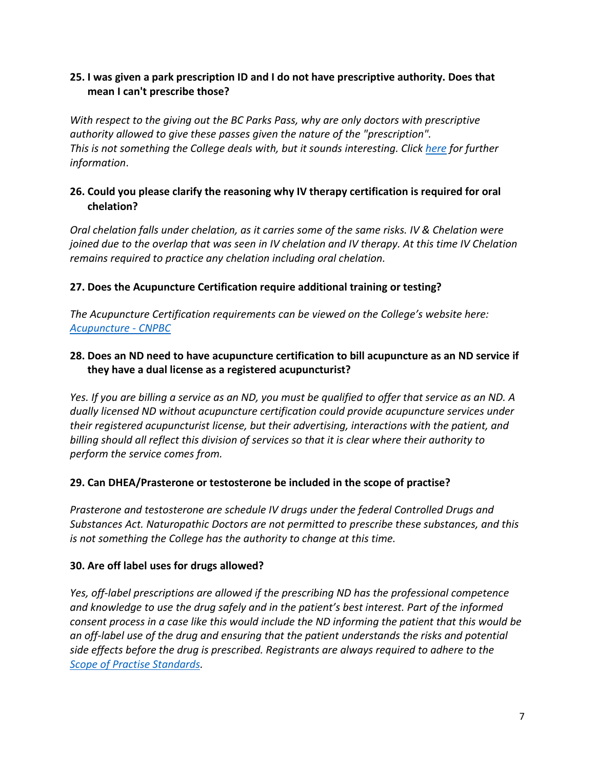### **25. I was given a park prescription ID and I do not have prescriptive authority. Does that mean I can't prescribe those?**

*With respect to the giving out the BC Parks Pass, why are only doctors with prescriptive authority allowed to give these passes given the nature of the "prescription". This is not something the College deals with, but it sounds interesting. Click [here](https://www.parkprescriptions.ca/en/prescribers) for further information*.

## **26. Could you please clarify the reasoning why IV therapy certification is required for oral chelation?**

*Oral chelation falls under chelation, as it carries some of the same risks. IV & Chelation were joined due to the overlap that was seen in IV chelation and IV therapy. At this time IV Chelation remains required to practice any chelation including oral chelation.*

## **27. Does the Acupuncture Certification require additional training or testing?**

*The Acupuncture Certification requirements can be viewed on the College's website here: [Acupuncture -](https://cnpbc.bc.ca/for-registrants/resources/certification-requirements/acupuncture/) CNPBC*

### **28. Does an ND need to have acupuncture certification to bill acupuncture as an ND service if they have a dual license as a registered acupuncturist?**

*Yes. If you are billing a service as an ND, you must be qualified to offer that service as an ND. A dually licensed ND without acupuncture certification could provide acupuncture services under their registered acupuncturist license, but their advertising, interactions with the patient, and billing should all reflect this division of services so that it is clear where their authority to perform the service comes from.*

#### **29. Can DHEA/Prasterone or testosterone be included in the scope of practise?**

*Prasterone and testosterone are schedule IV drugs under the federal Controlled Drugs and Substances Act. Naturopathic Doctors are not permitted to prescribe these substances, and this is not something the College has the authority to change at this time.*

#### **30. Are off label uses for drugs allowed?**

*Yes, off-label prescriptions are allowed if the prescribing ND has the professional competence and knowledge to use the drug safely and in the patient's best interest. Part of the informed consent process in a case like this would include the ND informing the patient that this would be an off-label use of the drug and ensuring that the patient understands the risks and potential side effects before the drug is prescribed. Registrants are always required to adhere to the [Scope of Practise Standards.](https://cnpbc.bc.ca/wp-content/uploads/Scope-of-Practice-Standards-final.pdf)*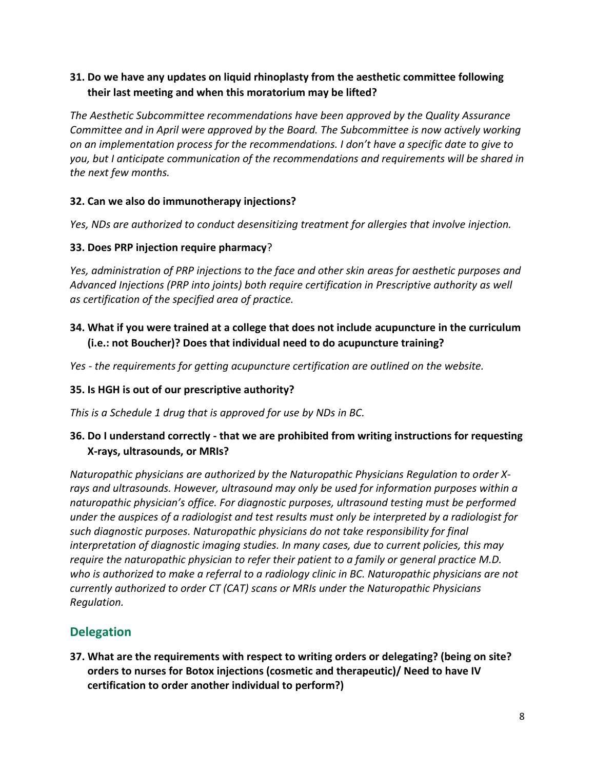## **31. Do we have any updates on liquid rhinoplasty from the aesthetic committee following their last meeting and when this moratorium may be lifted?**

*The Aesthetic Subcommittee recommendations have been approved by the Quality Assurance Committee and in April were approved by the Board. The Subcommittee is now actively working on an implementation process for the recommendations. I don't have a specific date to give to you, but I anticipate communication of the recommendations and requirements will be shared in the next few months.*

## **32. Can we also do immunotherapy injections?**

*Yes, NDs are authorized to conduct desensitizing treatment for allergies that involve injection.*

## **33. Does PRP injection require pharmacy**?

*Yes, administration of PRP injections to the face and other skin areas for aesthetic purposes and Advanced Injections (PRP into joints) both require certification in Prescriptive authority as well as certification of the specified area of practice.*

## **34. What if you were trained at a college that does not include acupuncture in the curriculum (i.e.: not Boucher)? Does that individual need to do acupuncture training?**

*Yes - the requirements for getting acupuncture certification are outlined on the website.*

## **35. Is HGH is out of our prescriptive authority?**

*This is a Schedule 1 drug that is approved for use by NDs in BC.*

## **36. Do I understand correctly - that we are prohibited from writing instructions for requesting X-rays, ultrasounds, or MRIs?**

*Naturopathic physicians are authorized by the Naturopathic Physicians Regulation to order Xrays and ultrasounds. However, ultrasound may only be used for information purposes within a naturopathic physician's office. For diagnostic purposes, ultrasound testing must be performed under the auspices of a radiologist and test results must only be interpreted by a radiologist for such diagnostic purposes. Naturopathic physicians do not take responsibility for final interpretation of diagnostic imaging studies. In many cases, due to current policies, this may require the naturopathic physician to refer their patient to a family or general practice M.D. who is authorized to make a referral to a radiology clinic in BC. Naturopathic physicians are not currently authorized to order CT (CAT) scans or MRIs under the Naturopathic Physicians Regulation.*

## **Delegation**

**37. What are the requirements with respect to writing orders or delegating? (being on site? orders to nurses for Botox injections (cosmetic and therapeutic)/ Need to have IV certification to order another individual to perform?)**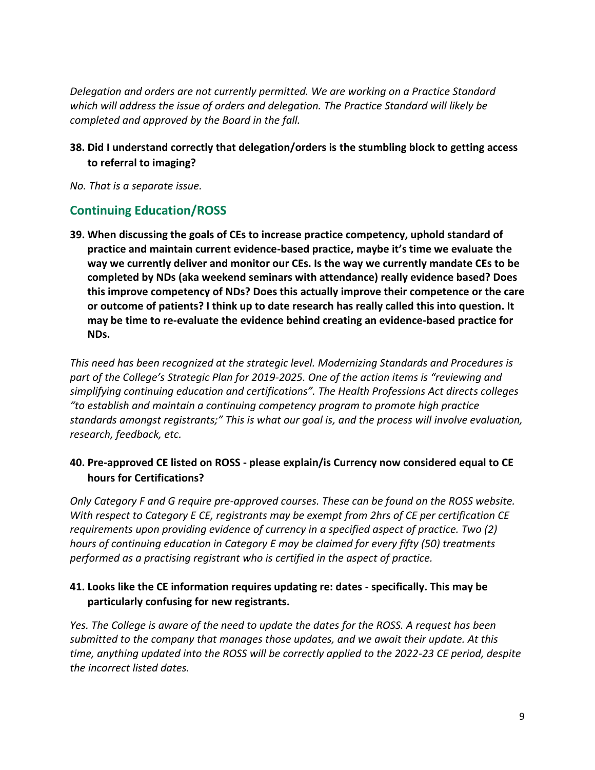*Delegation and orders are not currently permitted. We are working on a Practice Standard which will address the issue of orders and delegation. The Practice Standard will likely be completed and approved by the Board in the fall.*

## **38. Did I understand correctly that delegation/orders is the stumbling block to getting access to referral to imaging?**

*No. That is a separate issue.*

## **Continuing Education/ROSS**

**39. When discussing the goals of CEs to increase practice competency, uphold standard of practice and maintain current evidence-based practice, maybe it's time we evaluate the way we currently deliver and monitor our CEs. Is the way we currently mandate CEs to be completed by NDs (aka weekend seminars with attendance) really evidence based? Does this improve competency of NDs? Does this actually improve their competence or the care or outcome of patients? I think up to date research has really called this into question. It may be time to re-evaluate the evidence behind creating an evidence-based practice for NDs.** 

*This need has been recognized at the strategic level. Modernizing Standards and Procedures is part of the College's Strategic Plan for 2019-2025. One of the action items is "reviewing and simplifying continuing education and certifications". The Health Professions Act directs colleges "to establish and maintain a continuing competency program to promote high practice standards amongst registrants;" This is what our goal is, and the process will involve evaluation, research, feedback, etc.* 

## **40. Pre-approved CE listed on ROSS - please explain/is Currency now considered equal to CE hours for Certifications?**

*Only Category F and G require pre-approved courses. These can be found on the ROSS website. With respect to Category E CE, registrants may be exempt from 2hrs of CE per certification CE requirements upon providing evidence of currency in a specified aspect of practice. Two (2) hours of continuing education in Category E may be claimed for every fifty (50) treatments performed as a practising registrant who is certified in the aspect of practice.*

## **41. Looks like the CE information requires updating re: dates - specifically. This may be particularly confusing for new registrants.**

*Yes. The College is aware of the need to update the dates for the ROSS. A request has been submitted to the company that manages those updates, and we await their update. At this time, anything updated into the ROSS will be correctly applied to the 2022-23 CE period, despite the incorrect listed dates.*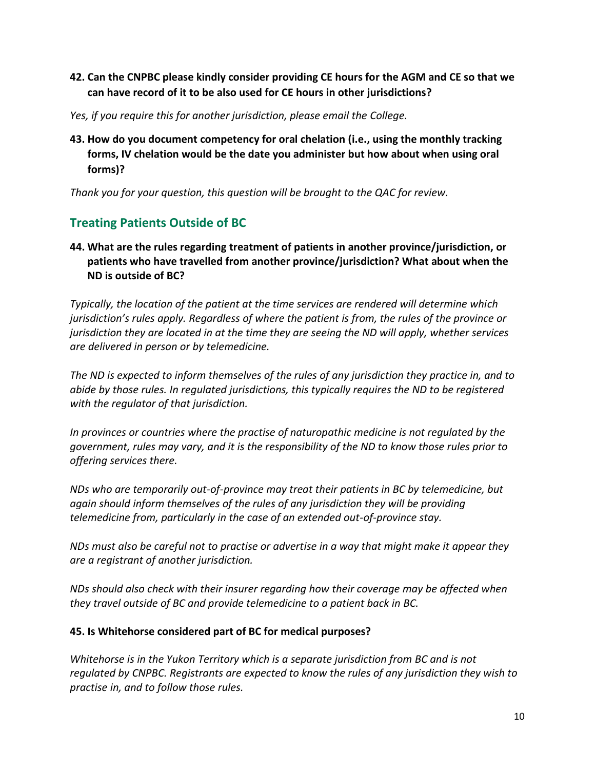## **42. Can the CNPBC please kindly consider providing CE hours for the AGM and CE so that we can have record of it to be also used for CE hours in other jurisdictions?**

- *Yes, if you require this for another jurisdiction, please email the College.*
- **43. How do you document competency for oral chelation (i.e., using the monthly tracking forms, IV chelation would be the date you administer but how about when using oral forms)?**

*Thank you for your question, this question will be brought to the QAC for review.*

## **Treating Patients Outside of BC**

## **44. What are the rules regarding treatment of patients in another province/jurisdiction, or patients who have travelled from another province/jurisdiction? What about when the ND is outside of BC?**

*Typically, the location of the patient at the time services are rendered will determine which jurisdiction's rules apply. Regardless of where the patient is from, the rules of the province or jurisdiction they are located in at the time they are seeing the ND will apply, whether services are delivered in person or by telemedicine.* 

*The ND is expected to inform themselves of the rules of any jurisdiction they practice in, and to abide by those rules. In regulated jurisdictions, this typically requires the ND to be registered with the regulator of that jurisdiction.* 

*In provinces or countries where the practise of naturopathic medicine is not regulated by the government, rules may vary, and it is the responsibility of the ND to know those rules prior to offering services there.* 

*NDs who are temporarily out-of-province may treat their patients in BC by telemedicine, but again should inform themselves of the rules of any jurisdiction they will be providing telemedicine from, particularly in the case of an extended out-of-province stay.* 

*NDs must also be careful not to practise or advertise in a way that might make it appear they are a registrant of another jurisdiction.* 

*NDs should also check with their insurer regarding how their coverage may be affected when they travel outside of BC and provide telemedicine to a patient back in BC.*

#### **45. Is Whitehorse considered part of BC for medical purposes?**

*Whitehorse is in the Yukon Territory which is a separate jurisdiction from BC and is not regulated by CNPBC. Registrants are expected to know the rules of any jurisdiction they wish to practise in, and to follow those rules.*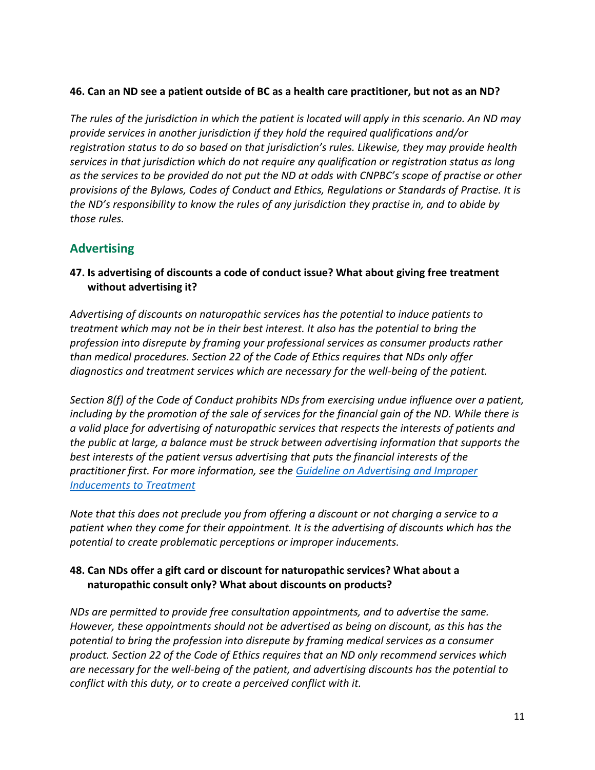#### **46. Can an ND see a patient outside of BC as a health care practitioner, but not as an ND?**

*The rules of the jurisdiction in which the patient is located will apply in this scenario. An ND may provide services in another jurisdiction if they hold the required qualifications and/or registration status to do so based on that jurisdiction's rules. Likewise, they may provide health services in that jurisdiction which do not require any qualification or registration status as long as the services to be provided do not put the ND at odds with CNPBC's scope of practise or other provisions of the Bylaws, Codes of Conduct and Ethics, Regulations or Standards of Practise. It is the ND's responsibility to know the rules of any jurisdiction they practise in, and to abide by those rules.*

## **Advertising**

**47. Is advertising of discounts a code of conduct issue? What about giving free treatment without advertising it?**

*Advertising of discounts on naturopathic services has the potential to induce patients to treatment which may not be in their best interest. It also has the potential to bring the profession into disrepute by framing your professional services as consumer products rather than medical procedures. Section 22 of the Code of Ethics requires that NDs only offer diagnostics and treatment services which are necessary for the well-being of the patient.* 

*Section 8(f) of the Code of Conduct prohibits NDs from exercising undue influence over a patient, including by the promotion of the sale of services for the financial gain of the ND. While there is a valid place for advertising of naturopathic services that respects the interests of patients and the public at large, a balance must be struck between advertising information that supports the best interests of the patient versus advertising that puts the financial interests of the practitioner first. For more information, see the [Guideline on Advertising and Improper](https://cnpbc.bc.ca/wp-content/uploads/2018-04-11-5b-Guideline-Advertising-and-Improper-Inducements-to-Treatment-current.pdf)  [Inducements to Treatment](https://cnpbc.bc.ca/wp-content/uploads/2018-04-11-5b-Guideline-Advertising-and-Improper-Inducements-to-Treatment-current.pdf)*

*Note that this does not preclude you from offering a discount or not charging a service to a patient when they come for their appointment. It is the advertising of discounts which has the potential to create problematic perceptions or improper inducements.*

#### **48. Can NDs offer a gift card or discount for naturopathic services? What about a naturopathic consult only? What about discounts on products?**

*NDs are permitted to provide free consultation appointments, and to advertise the same. However, these appointments should not be advertised as being on discount, as this has the potential to bring the profession into disrepute by framing medical services as a consumer product. Section 22 of the Code of Ethics requires that an ND only recommend services which are necessary for the well-being of the patient, and advertising discounts has the potential to conflict with this duty, or to create a perceived conflict with it.*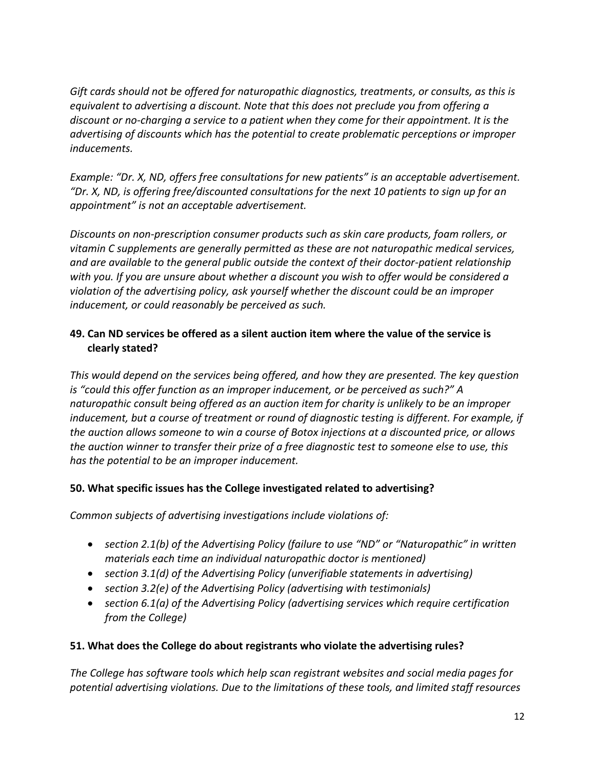*Gift cards should not be offered for naturopathic diagnostics, treatments, or consults, as this is equivalent to advertising a discount. Note that this does not preclude you from offering a discount or no-charging a service to a patient when they come for their appointment. It is the advertising of discounts which has the potential to create problematic perceptions or improper inducements.*

*Example: "Dr. X, ND, offers free consultations for new patients" is an acceptable advertisement. "Dr. X, ND, is offering free/discounted consultations for the next 10 patients to sign up for an appointment" is not an acceptable advertisement.*

*Discounts on non-prescription consumer products such as skin care products, foam rollers, or vitamin C supplements are generally permitted as these are not naturopathic medical services, and are available to the general public outside the context of their doctor-patient relationship with you. If you are unsure about whether a discount you wish to offer would be considered a violation of the advertising policy, ask yourself whether the discount could be an improper inducement, or could reasonably be perceived as such.* 

## **49. Can ND services be offered as a silent auction item where the value of the service is clearly stated?**

*This would depend on the services being offered, and how they are presented. The key question is "could this offer function as an improper inducement, or be perceived as such?" A naturopathic consult being offered as an auction item for charity is unlikely to be an improper inducement, but a course of treatment or round of diagnostic testing is different. For example, if the auction allows someone to win a course of Botox injections at a discounted price, or allows the auction winner to transfer their prize of a free diagnostic test to someone else to use, this has the potential to be an improper inducement.* 

#### **50. What specific issues has the College investigated related to advertising?**

*Common subjects of advertising investigations include violations of:*

- *section 2.1(b) of the Advertising Policy (failure to use "ND" or "Naturopathic" in written materials each time an individual naturopathic doctor is mentioned)*
- *section 3.1(d) of the Advertising Policy (unverifiable statements in advertising)*
- *section 3.2(e) of the Advertising Policy (advertising with testimonials)*
- *section 6.1(a) of the Advertising Policy (advertising services which require certification from the College)*

## **51. What does the College do about registrants who violate the advertising rules?**

*The College has software tools which help scan registrant websites and social media pages for potential advertising violations. Due to the limitations of these tools, and limited staff resources*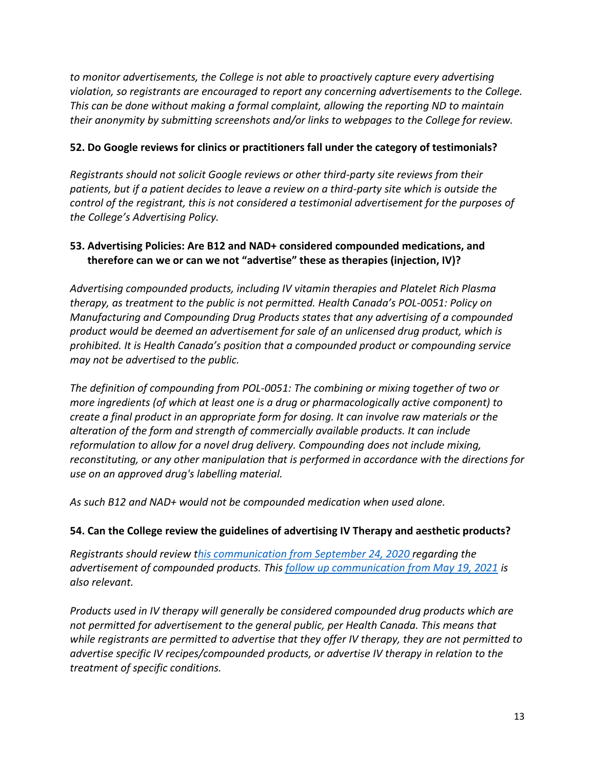*to monitor advertisements, the College is not able to proactively capture every advertising violation, so registrants are encouraged to report any concerning advertisements to the College. This can be done without making a formal complaint, allowing the reporting ND to maintain their anonymity by submitting screenshots and/or links to webpages to the College for review.* 

#### **52. Do Google reviews for clinics or practitioners fall under the category of testimonials?**

*Registrants should not solicit Google reviews or other third-party site reviews from their patients, but if a patient decides to leave a review on a third-party site which is outside the control of the registrant, this is not considered a testimonial advertisement for the purposes of the College's Advertising Policy.*

#### **53. Advertising Policies: Are B12 and NAD+ considered compounded medications, and therefore can we or can we not "advertise" these as therapies (injection, IV)?**

*Advertising compounded products, including IV vitamin therapies and Platelet Rich Plasma therapy, as treatment to the public is not permitted. Health Canada's POL-0051: Policy on Manufacturing and Compounding Drug Products states that any advertising of a compounded product would be deemed an advertisement for sale of an unlicensed drug product, which is prohibited. It is Health Canada's position that a compounded product or compounding service may not be advertised to the public.* 

*The definition of compounding from POL-0051: The combining or mixing together of two or more ingredients (of which at least one is a drug or pharmacologically active component) to create a final product in an appropriate form for dosing. It can involve raw materials or the alteration of the form and strength of commercially available products. It can include reformulation to allow for a novel drug delivery. Compounding does not include mixing, reconstituting, or any other manipulation that is performed in accordance with the directions for use on an approved drug's labelling material.* 

*As such B12 and NAD+ would not be compounded medication when used alone.*

#### **54. Can the College review the guidelines of advertising IV Therapy and aesthetic products?**

*Registrants should review [this communication from September 24, 2020 r](https://cnpbc.bc.ca/wp-content/uploads/Message-from-CNPBC-Advertising-of-Compounded-Products.pdf)egarding the advertisement of compounded products. This [follow up communication from May 19, 2021](https://cnpbc.bc.ca/wp-content/uploads/2021-05-19-Notice-to-Registrants-Health-Canada-Advertising-Requirements.pdf) is also relevant.* 

*Products used in IV therapy will generally be considered compounded drug products which are not permitted for advertisement to the general public, per Health Canada. This means that while registrants are permitted to advertise that they offer IV therapy, they are not permitted to advertise specific IV recipes/compounded products, or advertise IV therapy in relation to the treatment of specific conditions.*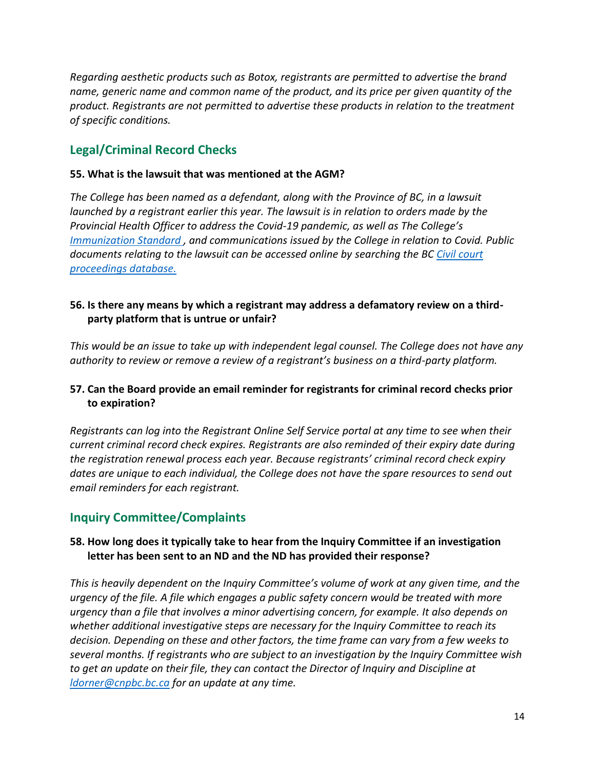*Regarding aesthetic products such as Botox, registrants are permitted to advertise the brand name, generic name and common name of the product, and its price per given quantity of the product. Registrants are not permitted to advertise these products in relation to the treatment of specific conditions.*

## **Legal/Criminal Record Checks**

#### **55. What is the lawsuit that was mentioned at the AGM?**

*The College has been named as a defendant, along with the Province of BC, in a lawsuit launched by a registrant earlier this year. The lawsuit is in relation to orders made by the Provincial Health Officer to address the Covid-19 pandemic, as well as The College's [Immunization Standard ,](https://cnpbc.bc.ca/wp-content/uploads/2018-05-25-Immunization-Standard1.pdf) and communications issued by the College in relation to Covid. Public documents relating to the lawsuit can be accessed online by searching the BC [Civil court](https://justice.gov.bc.ca/cso/esearch/civil/partySearch.do)  [proceedings database.](https://justice.gov.bc.ca/cso/esearch/civil/partySearch.do)*

#### **56. Is there any means by which a registrant may address a defamatory review on a thirdparty platform that is untrue or unfair?**

*This would be an issue to take up with independent legal counsel. The College does not have any authority to review or remove a review of a registrant's business on a third-party platform.*

#### **57. Can the Board provide an email reminder for registrants for criminal record checks prior to expiration?**

*Registrants can log into the Registrant Online Self Service portal at any time to see when their current criminal record check expires. Registrants are also reminded of their expiry date during the registration renewal process each year. Because registrants' criminal record check expiry dates are unique to each individual, the College does not have the spare resources to send out email reminders for each registrant.*

## **Inquiry Committee/Complaints**

## **58. How long does it typically take to hear from the Inquiry Committee if an investigation letter has been sent to an ND and the ND has provided their response?**

*This is heavily dependent on the Inquiry Committee's volume of work at any given time, and the urgency of the file. A file which engages a public safety concern would be treated with more urgency than a file that involves a minor advertising concern, for example. It also depends on whether additional investigative steps are necessary for the Inquiry Committee to reach its decision. Depending on these and other factors, the time frame can vary from a few weeks to several months. If registrants who are subject to an investigation by the Inquiry Committee wish to get an update on their file, they can contact the Director of Inquiry and Discipline at [ldorner@cnpbc.bc.ca](mailto:ldorner@cnpbc.bc.ca) for an update at any time.*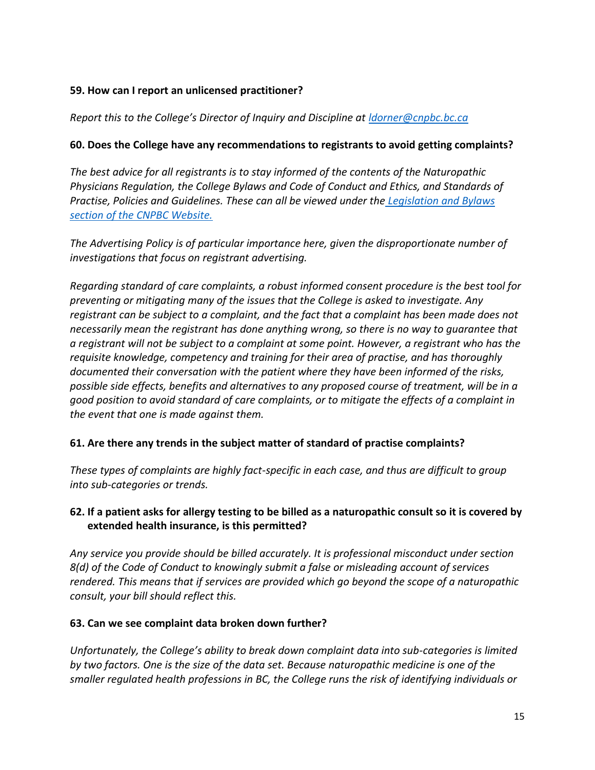#### **59. How can I report an unlicensed practitioner?**

#### *Report this to the College's Director of Inquiry and Discipline at [ldorner@cnpbc.bc.ca](mailto:ldorner@cnpbc.bc.ca)*

#### **60. Does the College have any recommendations to registrants to avoid getting complaints?**

*The best advice for all registrants is to stay informed of the contents of the Naturopathic Physicians Regulation, the College Bylaws and Code of Conduct and Ethics, and Standards of Practise, Policies and Guidelines. These can all be viewed under the [Legislation and Bylaws](https://cnpbc.bc.ca/about-us/legislation-bylaws/)  [section of the CNPBC Website.](https://cnpbc.bc.ca/about-us/legislation-bylaws/)*

*The Advertising Policy is of particular importance here, given the disproportionate number of investigations that focus on registrant advertising.* 

*Regarding standard of care complaints, a robust informed consent procedure is the best tool for preventing or mitigating many of the issues that the College is asked to investigate. Any registrant can be subject to a complaint, and the fact that a complaint has been made does not necessarily mean the registrant has done anything wrong, so there is no way to guarantee that a registrant will not be subject to a complaint at some point. However, a registrant who has the requisite knowledge, competency and training for their area of practise, and has thoroughly documented their conversation with the patient where they have been informed of the risks, possible side effects, benefits and alternatives to any proposed course of treatment, will be in a good position to avoid standard of care complaints, or to mitigate the effects of a complaint in the event that one is made against them.*

#### **61. Are there any trends in the subject matter of standard of practise complaints?**

*These types of complaints are highly fact-specific in each case, and thus are difficult to group into sub-categories or trends.*

## **62. If a patient asks for allergy testing to be billed as a naturopathic consult so it is covered by extended health insurance, is this permitted?**

*Any service you provide should be billed accurately. It is professional misconduct under section 8(d) of the Code of Conduct to knowingly submit a false or misleading account of services rendered. This means that if services are provided which go beyond the scope of a naturopathic consult, your bill should reflect this.* 

#### **63. Can we see complaint data broken down further?**

*Unfortunately, the College's ability to break down complaint data into sub-categories is limited by two factors. One is the size of the data set. Because naturopathic medicine is one of the smaller regulated health professions in BC, the College runs the risk of identifying individuals or*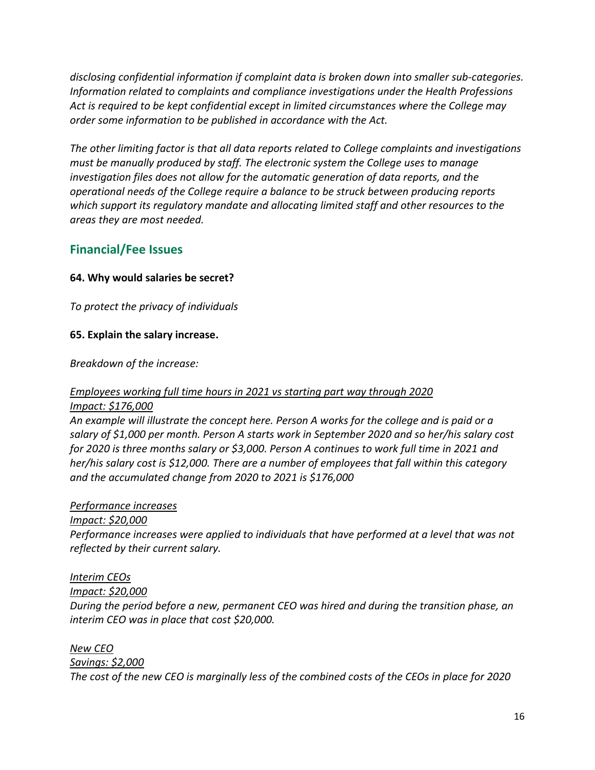*disclosing confidential information if complaint data is broken down into smaller sub-categories. Information related to complaints and compliance investigations under the Health Professions Act is required to be kept confidential except in limited circumstances where the College may order some information to be published in accordance with the Act.*

*The other limiting factor is that all data reports related to College complaints and investigations must be manually produced by staff. The electronic system the College uses to manage investigation files does not allow for the automatic generation of data reports, and the operational needs of the College require a balance to be struck between producing reports which support its regulatory mandate and allocating limited staff and other resources to the areas they are most needed.*

## **Financial/Fee Issues**

#### **64. Why would salaries be secret?**

*To protect the privacy of individuals*

#### **65. Explain the salary increase.**

*Breakdown of the increase:*

#### *Employees working full time hours in 2021 vs starting part way through 2020 Impact: \$176,000*

*An example will illustrate the concept here. Person A works for the college and is paid or a salary of \$1,000 per month. Person A starts work in September 2020 and so her/his salary cost for 2020 is three months salary or \$3,000. Person A continues to work full time in 2021 and her/his salary cost is \$12,000. There are a number of employees that fall within this category and the accumulated change from 2020 to 2021 is \$176,000*

#### *Performance increases*

*Impact: \$20,000*

*Performance increases were applied to individuals that have performed at a level that was not reflected by their current salary.*

#### *Interim CEOs*

#### *Impact: \$20,000*

*During the period before a new, permanent CEO was hired and during the transition phase, an interim CEO was in place that cost \$20,000.*

*New CEO*

*Savings: \$2,000*

*The cost of the new CEO is marginally less of the combined costs of the CEOs in place for 2020*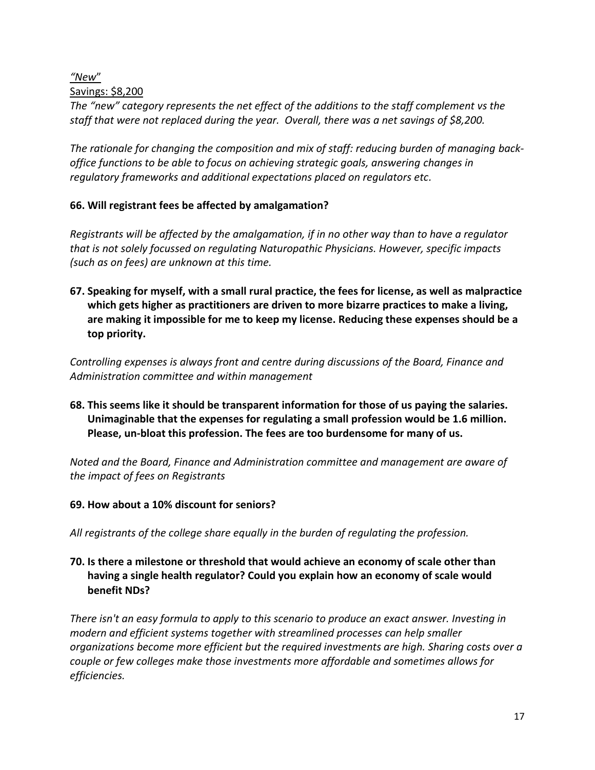#### *"New*"

#### Savings: \$8,200

*The "new" category represents the net effect of the additions to the staff complement vs the staff that were not replaced during the year. Overall, there was a net savings of \$8,200.*

*The rationale for changing the composition and mix of staff: reducing burden of managing backoffice functions to be able to focus on achieving strategic goals, answering changes in regulatory frameworks and additional expectations placed on regulators etc.*

## **66. Will registrant fees be affected by amalgamation?**

*Registrants will be affected by the amalgamation, if in no other way than to have a regulator that is not solely focussed on regulating Naturopathic Physicians. However, specific impacts (such as on fees) are unknown at this time.*

**67. Speaking for myself, with a small rural practice, the fees for license, as well as malpractice which gets higher as practitioners are driven to more bizarre practices to make a living, are making it impossible for me to keep my license. Reducing these expenses should be a top priority.**

*Controlling expenses is always front and centre during discussions of the Board, Finance and Administration committee and within management*

**68. This seems like it should be transparent information for those of us paying the salaries. Unimaginable that the expenses for regulating a small profession would be 1.6 million. Please, un-bloat this profession. The fees are too burdensome for many of us.**

*Noted and the Board, Finance and Administration committee and management are aware of the impact of fees on Registrants*

#### **69. How about a 10% discount for seniors?**

*All registrants of the college share equally in the burden of regulating the profession.*

## **70. Is there a milestone or threshold that would achieve an economy of scale other than having a single health regulator? Could you explain how an economy of scale would benefit NDs?**

*There isn't an easy formula to apply to this scenario to produce an exact answer. Investing in modern and efficient systems together with streamlined processes can help smaller organizations become more efficient but the required investments are high. Sharing costs over a couple or few colleges make those investments more affordable and sometimes allows for efficiencies.*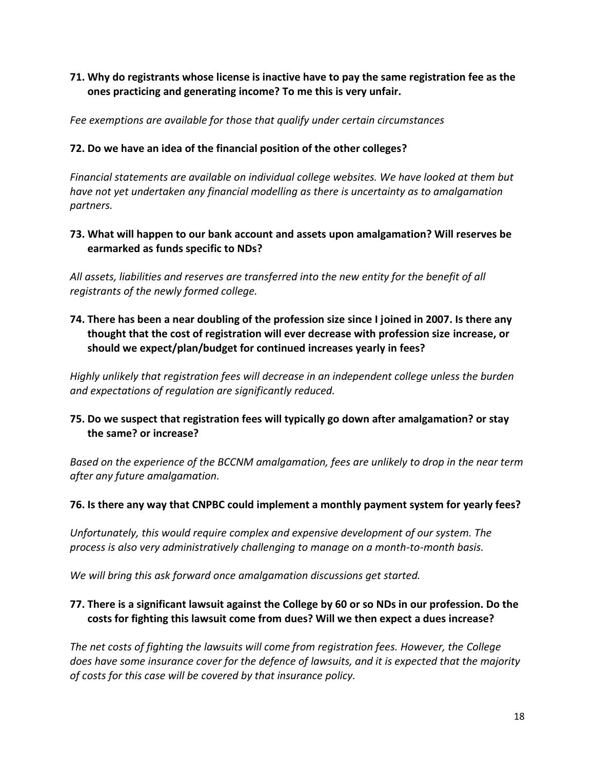## **71. Why do registrants whose license is inactive have to pay the same registration fee as the ones practicing and generating income? To me this is very unfair.**

*Fee exemptions are available for those that qualify under certain circumstances*

#### **72. Do we have an idea of the financial position of the other colleges?**

*Financial statements are available on individual college websites. We have looked at them but have not yet undertaken any financial modelling as there is uncertainty as to amalgamation partners.*

### **73. What will happen to our bank account and assets upon amalgamation? Will reserves be earmarked as funds specific to NDs?**

*All assets, liabilities and reserves are transferred into the new entity for the benefit of all registrants of the newly formed college.*

**74. There has been a near doubling of the profession size since I joined in 2007. Is there any thought that the cost of registration will ever decrease with profession size increase, or should we expect/plan/budget for continued increases yearly in fees?**

*Highly unlikely that registration fees will decrease in an independent college unless the burden and expectations of regulation are significantly reduced.*

## **75. Do we suspect that registration fees will typically go down after amalgamation? or stay the same? or increase?**

*Based on the experience of the BCCNM amalgamation, fees are unlikely to drop in the near term after any future amalgamation.*

#### **76. Is there any way that CNPBC could implement a monthly payment system for yearly fees?**

*Unfortunately, this would require complex and expensive development of our system. The process is also very administratively challenging to manage on a month-to-month basis.* 

*We will bring this ask forward once amalgamation discussions get started.*

## **77. There is a significant lawsuit against the College by 60 or so NDs in our profession. Do the costs for fighting this lawsuit come from dues? Will we then expect a dues increase?**

*The net costs of fighting the lawsuits will come from registration fees. However, the College does have some insurance cover for the defence of lawsuits, and it is expected that the majority of costs for this case will be covered by that insurance policy.*